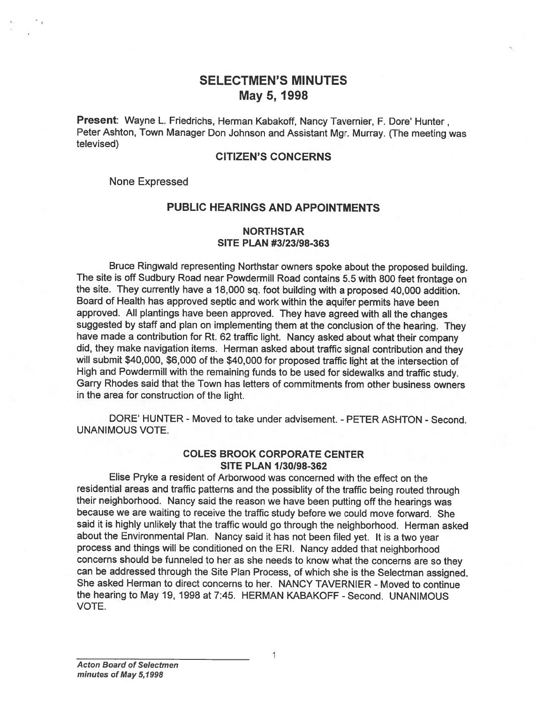# SELECTMEN'S MINUTES May 5, 1998

Present: Wayne L. Friedrichs, Herman Kabakoff, Nancy Tavernier, F. Dore' Hunter, Peter Ashton, Town Manager Don Johnson and Assistant Mgr. Murray. (The meeting was televised)

#### CITIZEN'S CONCERNS

None Expressed

#### PUBLIC HEARINGS AND APPOINTMENTS

### NORTHSTAR SITE PLAN #3123198-363

Bruce Ringwald representing Northstar owners spoke about the propose<sup>d</sup> building. The site is off Sudbury Road near Powdermill Road contains 5.5 with <sup>800</sup> feet frontage on the site. They currently have <sup>a</sup> 18,000 sq. foot building with <sup>a</sup> propose<sup>d</sup> 40,000 addition. Board of Health has approve<sup>d</sup> septic and work within the aquifer permits have been approved. All <sup>p</sup>lantings have been approved. They have agree<sup>d</sup> with all the changes suggested by staff and <sup>p</sup>lan on implementing them at the conclusion of the hearing. They have made <sup>a</sup> contribution for Rt. <sup>62</sup> traffic light. Nancy asked about what their company did, they make navigation items. Herman asked about traffic signal contribution and they will submit \$40,000, \$6,000 of the \$40,000 for propose<sup>d</sup> traffic light at the intersection of High and Powdermill with the remaining funds to be used for sidewalks and traffic study. Garry Rhodes said that the Town has letters of commitments from other business owners in the area for construction of the light.

DORE' HUNTER - Moved to take under advisement. - PETER ASHTON - Second. UNANIMOUS VOTE.

### COLES BROOK CORPORATE CENTER SITE PLAN 1/30/98-362

Elise Pryke <sup>a</sup> resident of Arborwood was concerned with the effect on the residential areas and traffic patterns and the possiblity of the traffic being routed through their neighborhood. Nancy said the reason we have been putting off the hearings was because we are waiting to receive the traffic study before we could move forward. She said it is highly unlikely that the traffic would go through the neighborhood. Herman asked about the Environmental Plan. Nancy said it has not been filed yet. It is <sup>a</sup> two year process and things will be conditioned on the ERI. Nancy added that neighborhood concerns should be funneled to her as she needs to know what the concerns are so they can be addressed through the Site Plan Process, of which she is the Selectman assigned. She asked Herman to direct concerns to her. NANCY TAVERNIER - Moved to continue the hearing to May 19, 1998 at 7:45. HERMAN KABAKOFF - Second. UNANIMOUS VOTE.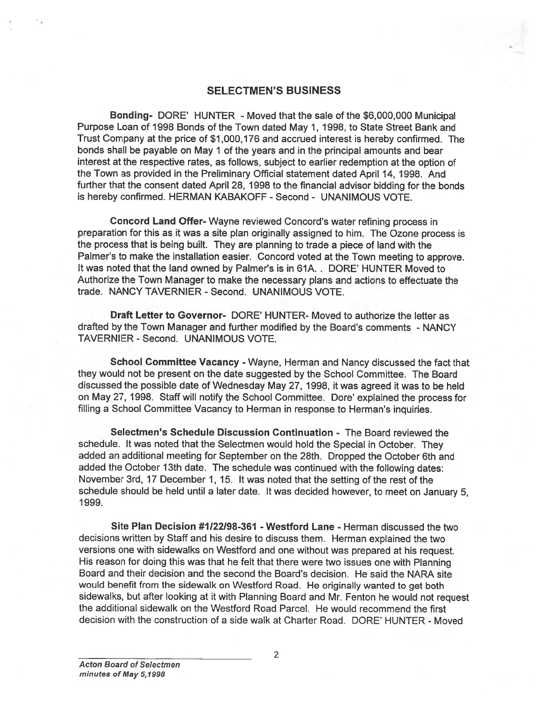#### SELECTMEN'S BUSINESS

Bonding- DORE' HUNTER -Moved that the sale of the \$6,000,000 Municipal Purpose Loan of 1998 Bonds of the Town dated May 1, 1998, to State Street Bank and Trust Company at the price of \$1,000,176 and accrued interest is hereby confirmed. The bonds shall be payable on May <sup>1</sup> of the years and in the principal amounts and bear interest at the respective rates, as follows, subject to earlier redemption at the option of the Town as provided in the Preliminary Official statement dated April 14, 1998. And further that the consent dated April 28, 1998 to the financial advisor bidding for the bonds is hereby confirmed. HERMAN KABAKOFF - Second - UNANIMOUS VOTE.

Concord Land Offer- Wayne reviewed Concord's water refining process in preparation for this as it was <sup>a</sup> site <sup>p</sup>lan originally assigned to him. The Ozone process is the process that is being built. They are <sup>p</sup>lanning to trade <sup>a</sup> <sup>p</sup>iece of land with the Palmer's to make the installation easier. Concord voted at the Town meeting to approve. It was noted that the land owned by Palmer's is in 61A. . DORE' HUNTER Moved to Authorize the Town Manager to make the necessary plans and actions to effectuate the trade. NANCY TAVERNIER - Second. UNANIMOUS VOTE.

Draft Letter to Governor- DORE' HUNTER- Moved to authorize the letter as drafted by the Town Manager and further modified by the Board's comments - NANCY TAVERNIER - Second. UNANIMOUS VOTE.

School Committee Vacancy -Wayne, Herman and Nancy discussed the fact that they would not be presen<sup>t</sup> on the date suggested by the School Committee. The Board discussed the possible date of Wednesday May 27, 1998, it was agreed it was to be held on May 27, 1998. Staff will notify the School Committee. Dore' explained the process for filling <sup>a</sup> School Committee Vacancy to Herman in response to Herman's inquiries.

Selectmen's Schedule Discussion Continuation - The Board reviewed the schedule. It was noted that the Selectmen would hold the Special in October. They added an additional meeting for September on the 28th. Dropped the October 6th and added the October 13th date. The schedule was continued with the following dates: November 3rd, <sup>17</sup> December 1, 15. It was noted that the setting of the rest of the schedule should be held until <sup>a</sup> later date. It was decided however, to meet on January 5, 1999.

Site Plan Decision #1/22/98-361 - Westford Lane - Herman discussed the two decisions written by Staff and his desire to discuss them. Herman explained the two versions one with sidewalks on Westford and one without was prepare<sup>d</sup> at his request. His reason for doing this was that he felt that there were two issues one with Planning Board and their decision and the second the Board's decision. He said the NARA site would benefit from the sidewalk on Wesiford Road. He originally wanted to ge<sup>t</sup> both sidewalks, but after looking at it with Planning Board and Mr. Fenton he would not reques<sup>t</sup> the additional sidewalk on the Westford Road Parcel. He would recommend the first decision with the construction of <sup>a</sup> side walk at Charter Road. DORE' HUNTER - Moved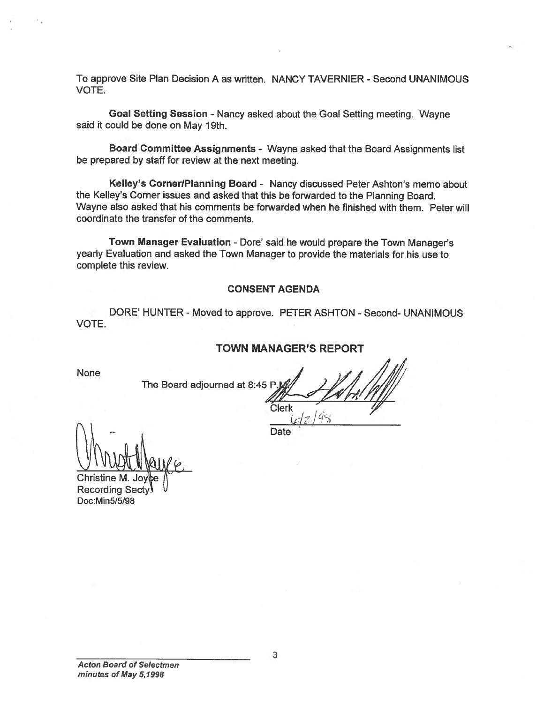To approve Site Plan Decision A as written. NANCY TAVERNIER - Second UNANIMOUS VOTE.

Goal Setting Session - Nancy asked about the Goal Setting meeting. Wayne said it could be done on May 19th.

Board Committee Assignments - Wayne asked that the Board Assignments list be prepared by staff for review at the next meeting.

Kelley's Corner/Planning Board - Nancy discussed Peter Ashton's memo about the Kelley's Corner issues and asked that this be forwarded to the Planning Board. Wayne also asked that his comments be forwarded when he finished with them. Peter will coordinate the transfer of the comments.

Town Manager Evaluation - Dore' said he would prepare the Town Manager's yearly Evaluation and asked the Town Manager to provide the materials for his use to complete this review.

#### CONSENT AGENDA

DORE' HUNTER - Moved to approve. PETER ASHTON - Second- UNANIMOUS VOTE.

#### TOWN MANAGER'S REPORT

Clerk

**Date** 

 $\mathscr{P}$ 

None

The Board adjourned at 8:45 P

**Christine** Recording Secty. Doc:Min5/5/98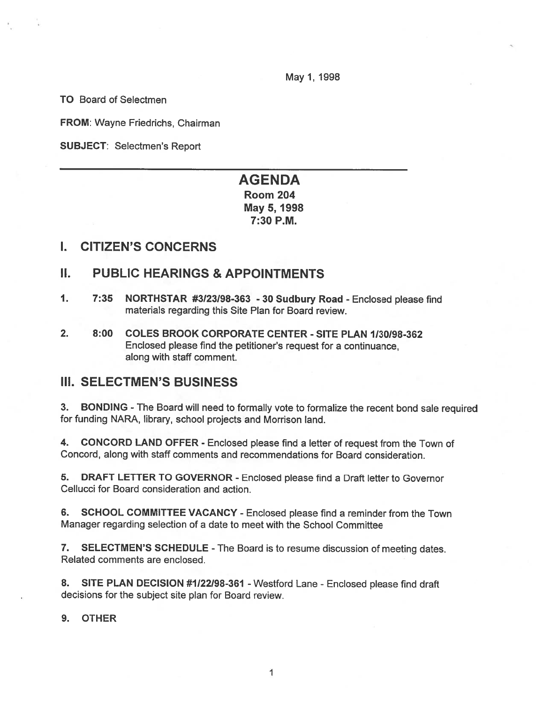May 1, 1998

TO Board of Selectmen

FROM: Wayne Friedrichs, Chairman

SUBJECT: Selectmen's Report

# AGENDA Room 204 May 5, 1998 7:30 P.M.

### I. CITIZEN'S CONCERNS

## II. PUBLIC HEARINGS & APPOINTMENTS

- 1. 7:35 NORTHSTAR #3123198-363 <sup>30</sup> Sudbury Road Enclosed <sup>p</sup>lease find materials regarding this Site Plan for Board review.
- 2. 8:00 COLES BROOK CORPORATE CENTER SITE PLAN 1130198-362 Enclosed please find the petitioner's reques<sup>t</sup> for <sup>a</sup> continuance, along with staff comment.

# III. SELECTMEN'S BUSINESS

3. BONDING - The Board will need to formally vote to formalize the recent bond sale required for funding NARA, library, school projects and Morrison land.

4. CONCORD LAND OFFER - Enclosed <sup>p</sup>lease find <sup>a</sup> letter of reques<sup>t</sup> from the Town of Concord, along with staff comments and recommendations for Board consideration.

5. DRAFT LETTER TO GOVERNOR - Enclosed please find <sup>a</sup> Draft letter to Governor Cellucci for Board consideration and action.

6. SCHOOL COMMITTEE VACANCY - Enclosed <sup>p</sup>lease find <sup>a</sup> reminder from the Town Manager regarding selection of <sup>a</sup> date to meet with the School Committee

7. SELECTMEN'S SCHEDULE - The Board is to resume discussion of meeting dates. Related comments are enclosed.

8. SITE PLAN DECISION #1/22/98-361 - Westford Lane - Enclosed please find draft decisions for the subject site plan for Board review.

9. OTHER